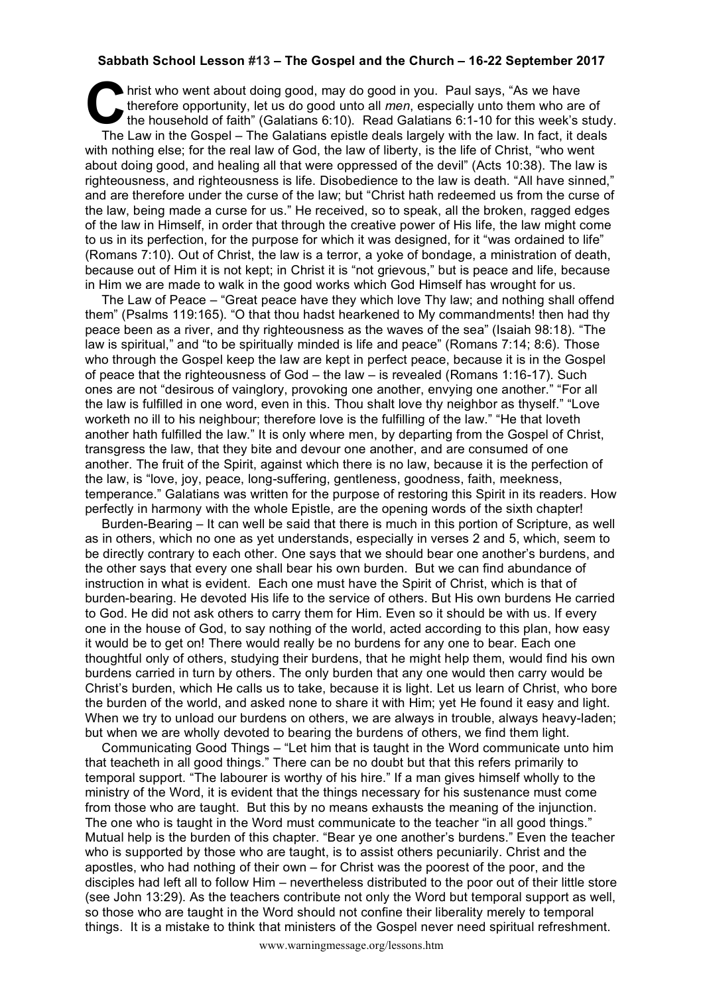## **Sabbath School Lesson #13 – The Gospel and the Church – 16-22 September 2017**

hrist who went about doing good, may do good in you. Paul says, "As we have therefore opportunity, let us do good unto all *men*, especially unto them who are the household of faith" (Galatians 6:10). Read Galatians 6:1-10 therefore opportunity, let us do good unto all *men*, especially unto them who are of the household of faith" (Galatians 6:10). Read Galatians 6:1-10 for this week's study. The Law in the Gospel – The Galatians epistle deals largely with the law. In fact, it deals with nothing else; for the real law of God, the law of liberty, is the life of Christ, "who went about doing good, and healing all that were oppressed of the devil" (Acts 10:38). The law is righteousness, and righteousness is life. Disobedience to the law is death. "All have sinned," and are therefore under the curse of the law; but "Christ hath redeemed us from the curse of the law, being made a curse for us." He received, so to speak, all the broken, ragged edges of the law in Himself, in order that through the creative power of His life, the law might come to us in its perfection, for the purpose for which it was designed, for it "was ordained to life" (Romans 7:10). Out of Christ, the law is a terror, a yoke of bondage, a ministration of death, because out of Him it is not kept; in Christ it is "not grievous," but is peace and life, because in Him we are made to walk in the good works which God Himself has wrought for us.

The Law of Peace – "Great peace have they which love Thy law; and nothing shall offend them" (Psalms 119:165). "O that thou hadst hearkened to My commandments! then had thy peace been as a river, and thy righteousness as the waves of the sea" (Isaiah 98:18). "The law is spiritual," and "to be spiritually minded is life and peace" (Romans 7:14; 8:6). Those who through the Gospel keep the law are kept in perfect peace, because it is in the Gospel of peace that the righteousness of God – the law – is revealed (Romans 1:16-17). Such ones are not "desirous of vainglory, provoking one another, envying one another." "For all the law is fulfilled in one word, even in this. Thou shalt love thy neighbor as thyself." "Love worketh no ill to his neighbour; therefore love is the fulfilling of the law." "He that loveth another hath fulfilled the law." It is only where men, by departing from the Gospel of Christ, transgress the law, that they bite and devour one another, and are consumed of one another. The fruit of the Spirit, against which there is no law, because it is the perfection of the law, is "love, joy, peace, long-suffering, gentleness, goodness, faith, meekness, temperance." Galatians was written for the purpose of restoring this Spirit in its readers. How perfectly in harmony with the whole Epistle, are the opening words of the sixth chapter!

Burden-Bearing – It can well be said that there is much in this portion of Scripture, as well as in others, which no one as yet understands, especially in verses 2 and 5, which, seem to be directly contrary to each other. One says that we should bear one another's burdens, and the other says that every one shall bear his own burden. But we can find abundance of instruction in what is evident. Each one must have the Spirit of Christ, which is that of burden-bearing. He devoted His life to the service of others. But His own burdens He carried to God. He did not ask others to carry them for Him. Even so it should be with us. If every one in the house of God, to say nothing of the world, acted according to this plan, how easy it would be to get on! There would really be no burdens for any one to bear. Each one thoughtful only of others, studying their burdens, that he might help them, would find his own burdens carried in turn by others. The only burden that any one would then carry would be Christ's burden, which He calls us to take, because it is light. Let us learn of Christ, who bore the burden of the world, and asked none to share it with Him; yet He found it easy and light. When we try to unload our burdens on others, we are always in trouble, always heavy-laden; but when we are wholly devoted to bearing the burdens of others, we find them light.

Communicating Good Things – "Let him that is taught in the Word communicate unto him that teacheth in all good things." There can be no doubt but that this refers primarily to temporal support. "The labourer is worthy of his hire." If a man gives himself wholly to the ministry of the Word, it is evident that the things necessary for his sustenance must come from those who are taught. But this by no means exhausts the meaning of the injunction. The one who is taught in the Word must communicate to the teacher "in all good things." Mutual help is the burden of this chapter. "Bear ye one another's burdens." Even the teacher who is supported by those who are taught, is to assist others pecuniarily. Christ and the apostles, who had nothing of their own – for Christ was the poorest of the poor, and the disciples had left all to follow Him – nevertheless distributed to the poor out of their little store (see John 13:29). As the teachers contribute not only the Word but temporal support as well, so those who are taught in the Word should not confine their liberality merely to temporal things. It is a mistake to think that ministers of the Gospel never need spiritual refreshment.